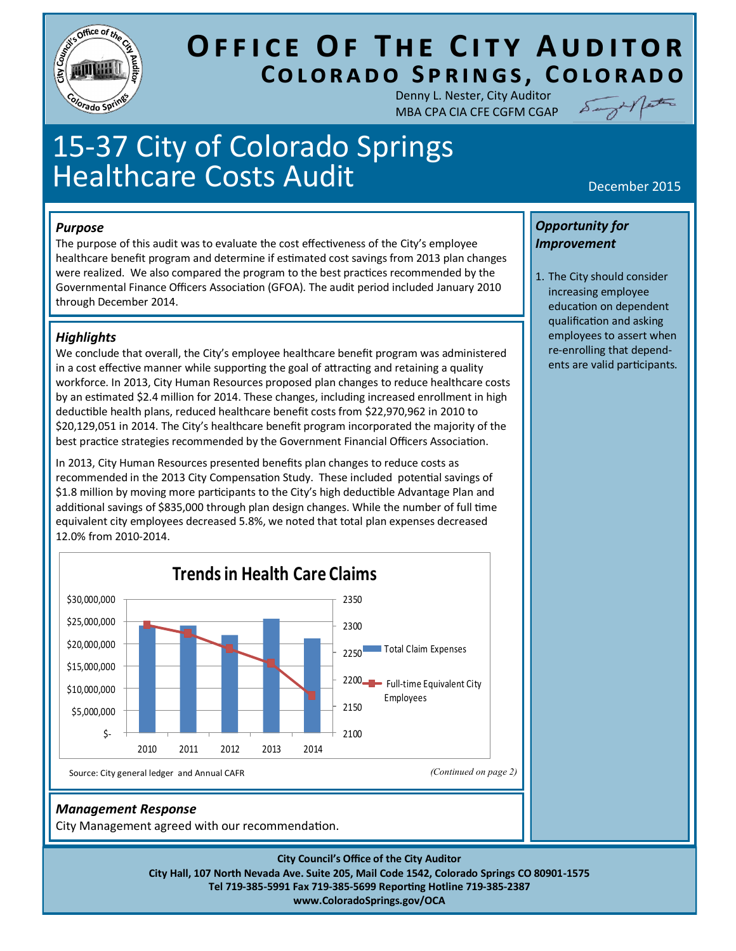

# **OFFICE OF THE CITY AUDITOR COLORADO SPRINGS, COLORADO**

Denny L. Nester, City Auditor MBA CPA CIA CFE CGFM CGAP



# 15-37 City of Colorado Springs Healthcare Costs Audit Network of the December 2015

#### *Purpose*

The purpose of this audit was to evaluate the cost effectiveness of the City's employee healthcare benefit program and determine if estimated cost savings from 2013 plan changes were realized. We also compared the program to the best practices recommended by the Governmental Finance Officers Association (GFOA). The audit period included January 2010 through December 2014.

#### *Highlights*

We conclude that overall, the City's employee healthcare benefit program was administered in a cost effective manner while supporting the goal of attracting and retaining a quality workforce. In 2013, City Human Resources proposed plan changes to reduce healthcare costs by an estimated \$2.4 million for 2014. These changes, including increased enrollment in high deductible health plans, reduced healthcare benefit costs from \$22,970,962 in 2010 to \$20,129,051 in 2014. The City's healthcare benefit program incorporated the majority of the best practice strategies recommended by the Government Financial Officers Association.

In 2013, City Human Resources presented benefits plan changes to reduce costs as recommended in the 2013 City Compensation Study. These included potential savings of \$1.8 million by moving more participants to the City's high deductible Advantage Plan and additional savings of \$835,000 through plan design changes. While the number of full time equivalent city employees decreased 5.8%, we noted that total plan expenses decreased 12.0% from 2010-2014.



#### *Management Response*

City Management agreed with our recommendation.

**City Council's Office of the City Auditor City Hall, 107 North Nevada Ave. Suite 205, Mail Code 1542, Colorado Springs CO 80901-1575 Tel 719-385-5991 Fax 719-385-5699 Reporting Hotline 719-385-2387 www.ColoradoSprings.gov/OCA**

#### *Opportunity for Improvement*

1. The City should consider increasing employee education on dependent qualification and asking employees to assert when re-enrolling that dependents are valid participants.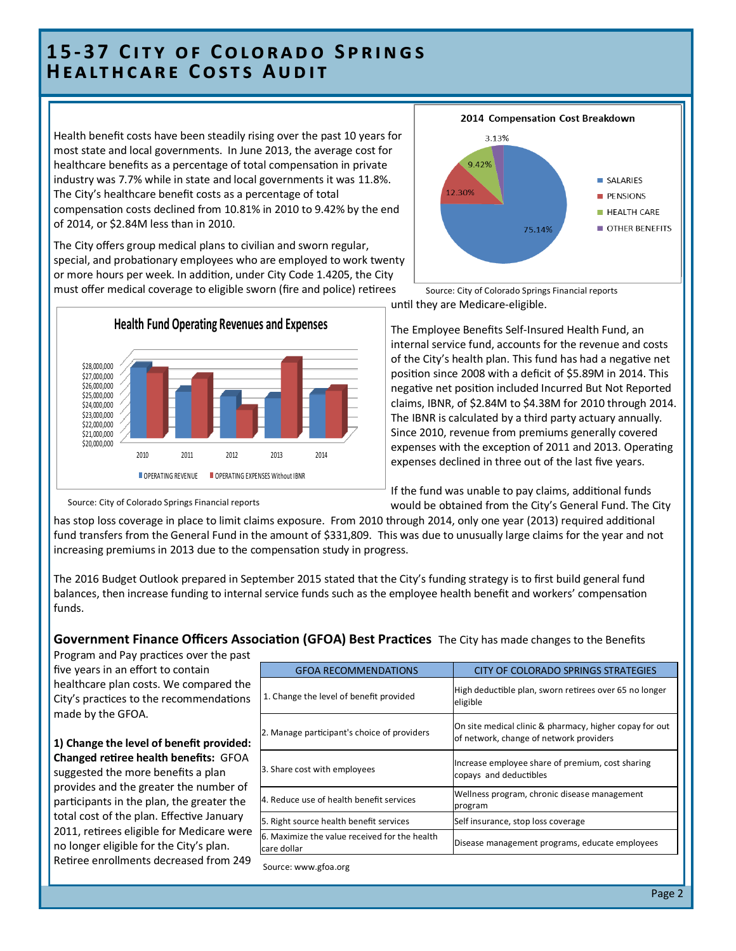## **1 5 - 3 7 C i t y o f C o l o r a d o S p r i n g s HEALTHCARE COSTS AUDIT**

Health benefit costs have been steadily rising over the past 10 years for most state and local governments. In June 2013, the average cost for healthcare benefits as a percentage of total compensation in private industry was 7.7% while in state and local governments it was 11.8%. The City's healthcare benefit costs as a percentage of total compensation costs declined from 10.81% in 2010 to 9.42% by the end of 2014, or \$2.84M less than in 2010.

The City offers group medical plans to civilian and sworn regular, special, and probationary employees who are employed to work twenty or more hours per week. In addition, under City Code 1.4205, the City must offer medical coverage to eligible sworn (fire and police) retirees





until they are Medicare-eligible. Source: City of Colorado Springs Financial reports

The Employee Benefits Self-Insured Health Fund, an internal service fund, accounts for the revenue and costs of the City's health plan. This fund has had a negative net position since 2008 with a deficit of \$5.89M in 2014. This negative net position included Incurred But Not Reported claims, IBNR, of \$2.84M to \$4.38M for 2010 through 2014. The IBNR is calculated by a third party actuary annually. Since 2010, revenue from premiums generally covered expenses with the exception of 2011 and 2013. Operating expenses declined in three out of the last five years.

If the fund was unable to pay claims, additional funds would be obtained from the City's General Fund. The City

has stop loss coverage in place to limit claims exposure. From 2010 through 2014, only one year (2013) required additional fund transfers from the General Fund in the amount of \$331,809. This was due to unusually large claims for the year and not increasing premiums in 2013 due to the compensation study in progress.

The 2016 Budget Outlook prepared in September 2015 stated that the City's funding strategy is to first build general fund balances, then increase funding to internal service funds such as the employee health benefit and workers' compensation funds.

#### **Government Finance Officers Association (GFOA) Best Practices** The City has made changes to the Benefits

Program and Pay practices over the past five years in an effort to contain healthcare plan costs. We compared the City's practices to the recommendations made by the GFOA.

#### **1) Change the level of benefit provided: Changed retiree health benefits:** GFOA suggested the more benefits a plan provides and the greater the number of participants in the plan, the greater the total cost of the plan. Effective January 2011, retirees eligible for Medicare were no longer eligible for the City's plan. Retiree enrollments decreased from 249

| <b>GFOA RECOMMENDATIONS</b>                                  | CITY OF COLORADO SPRINGS STRATEGIES                                                                |
|--------------------------------------------------------------|----------------------------------------------------------------------------------------------------|
| 1. Change the level of benefit provided                      | High deductible plan, sworn retirees over 65 no longer<br>eligible                                 |
| 2. Manage participant's choice of providers                  | On site medical clinic & pharmacy, higher copay for out<br>of network, change of network providers |
| 3. Share cost with employees                                 | Increase employee share of premium, cost sharing<br>copays and deductibles                         |
| 4. Reduce use of health benefit services                     | Wellness program, chronic disease management<br>program                                            |
| 5. Right source health benefit services                      | Self insurance, stop loss coverage                                                                 |
| 6. Maximize the value received for the health<br>care dollar | Disease management programs, educate employees                                                     |
| Source: www.gfoa.org                                         |                                                                                                    |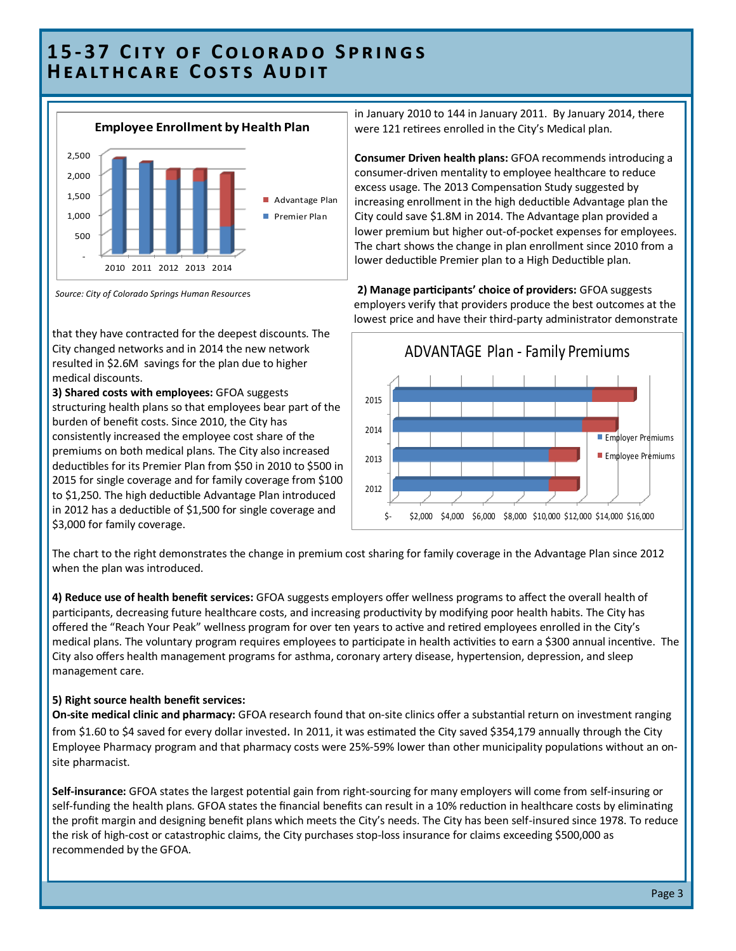# **1 5 - 3 7 C i t y o f C o l o r a d o S p r i n g s HEALTHCARE COSTS AUDIT**



*Source: City of Colorado Springs Human Resource*s

that they have contracted for the deepest discounts. The City changed networks and in 2014 the new network resulted in \$2.6M savings for the plan due to higher medical discounts.

**3) Shared costs with employees:** GFOA suggests structuring health plans so that employees bear part of the burden of benefit costs. Since 2010, the City has consistently increased the employee cost share of the premiums on both medical plans. The City also increased deductibles for its Premier Plan from \$50 in 2010 to \$500 in 2015 for single coverage and for family coverage from \$100 to \$1,250. The high deductible Advantage Plan introduced in 2012 has a deductible of \$1,500 for single coverage and \$3,000 for family coverage.

in January 2010 to 144 in January 2011. By January 2014, there were 121 retirees enrolled in the City's Medical plan.

**Consumer Driven health plans:** GFOA recommends introducing a consumer-driven mentality to employee healthcare to reduce excess usage. The 2013 Compensation Study suggested by increasing enrollment in the high deductible Advantage plan the City could save \$1.8M in 2014. The Advantage plan provided a lower premium but higher out-of-pocket expenses for employees. The chart shows the change in plan enrollment since 2010 from a lower deductible Premier plan to a High Deductible plan.

**2) Manage participants' choice of providers:** GFOA suggests employers verify that providers produce the best outcomes at the lowest price and have their third-party administrator demonstrate



The chart to the right demonstrates the change in premium cost sharing for family coverage in the Advantage Plan since 2012 when the plan was introduced.

**4) Reduce use of health benefit services:** GFOA suggests employers offer wellness programs to affect the overall health of participants, decreasing future healthcare costs, and increasing productivity by modifying poor health habits. The City has offered the "Reach Your Peak" wellness program for over ten years to active and retired employees enrolled in the City's medical plans. The voluntary program requires employees to participate in health activities to earn a \$300 annual incentive. The City also offers health management programs for asthma, coronary artery disease, hypertension, depression, and sleep management care.

#### **5) Right source health benefit services:**

**On-site medical clinic and pharmacy:** GFOA research found that on-site clinics offer a substantial return on investment ranging from \$1.60 to \$4 saved for every dollar invested. In 2011, it was estimated the City saved \$354,179 annually through the City Employee Pharmacy program and that pharmacy costs were 25%-59% lower than other municipality populations without an onsite pharmacist.

**Self-insurance:** GFOA states the largest potential gain from right-sourcing for many employers will come from self-insuring or self-funding the health plans. GFOA states the financial benefits can result in a 10% reduction in healthcare costs by eliminating the profit margin and designing benefit plans which meets the City's needs. The City has been self-insured since 1978. To reduce the risk of high-cost or catastrophic claims, the City purchases stop-loss insurance for claims exceeding \$500,000 as recommended by the GFOA.